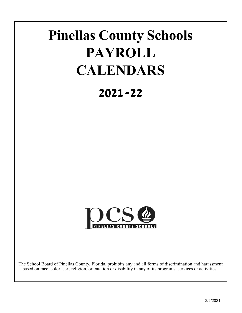# **Pinellas County Schools PAYROLL CALENDARS**

# **2021-22**



The School Board of Pinellas County, Florida, prohibits any and all forms of discrimination and harassment based on race, color, sex, religion, orientation or disability in any of its programs, services or activities.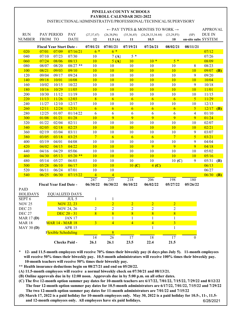### **PAYROLL CALENDAR 2021-2022** INSTRUCTIONAL/ADMINISTRATIVE/PROFESSIONAL/TECHNICAL/SUPERVISORY **PINELLAS COUNTY SCHOOLS**

|                   |                          |                               |                       |                  |                 |                | $\leftarrow$ PAY TYPES & MONTHS TO WORK $\rightarrow$ |                         |                     | <b>APPROVAL</b> |            |
|-------------------|--------------------------|-------------------------------|-----------------------|------------------|-----------------|----------------|-------------------------------------------------------|-------------------------|---------------------|-----------------|------------|
| <b>RUN</b>        |                          | PAY PERIOD                    | PAY                   | (27, 37, 47)     | (26,38, P6)     | (35,36,45)     | (24, 28, 33, 34.44)                                   | (23, 29, P3)            | (SP)                | DUE IN          |            |
| <b>NUMBER</b>     | FROM TO                  |                               | <b>DATE</b>           | 12               | 11.5 $(A)$      | 11             | 10.5                                                  | 10                      | on-site subs SYSTEM |                 |            |
|                   | Fiscal Year Start Date - |                               |                       | 07/01/21         | 07/01/21        | 07/19/21       | 07/26/21                                              | 08/02/21                | 08/11/21            |                 |            |
| 020               | 07/01                    | 07/09                         | 07/16/21              | $6*$             | $6*$            |                |                                                       |                         |                     | 07/12           |            |
| 040               | 07/10                    | 07/23                         | 07/30                 | 10               | 7(A)            | $5*$           |                                                       |                         |                     | 07/26           |            |
| 060               | 07/24                    | 08/06                         | 08/13                 | 10               | 5(A)            | 10             | $10 *$                                                | $5*$                    |                     | 08/09           |            |
| 080               | 08/07                    | 08/20                         | $08/27$ **            | 10               | 10              | 10             | 10                                                    | 10                      | 8                   | 08/23           |            |
| 100               | 08/21                    | 09/03                         | 09/10                 | 10               | 10              | 10             | 10                                                    | 10                      | 10                  | 09/07           | <b>(B)</b> |
| 120               | 09/04                    | 09/17                         | 09/24                 | 10               | 10              | 10             | 10                                                    | 10                      | 9                   | 09/20           |            |
| 140               | 09/18                    | 10/01                         | 10/08                 | 10               | 10              | 10             | 10                                                    | 10                      | 10                  | 10/04           |            |
| 160               | 10/02                    | 10/15                         | 10/22                 | 10               | 10              | 10             | 10                                                    | 10                      | 9                   | 10/18           |            |
| 180               | 10/16                    | 10/29                         | 11/05                 | 10               | 10              | 10             | 10                                                    | 10                      | 10                  | 11/01           |            |
| 200               | 10/30                    | 11/12                         | 11/19                 | 10               | 10              | 10             | 10                                                    | 10                      | 10                  | 11/15           |            |
| $\overline{220}$  | 11/13                    | 11/26                         | 12/03                 | 8                | 6               | $\overline{6}$ | 6                                                     | 6                       | 5                   | 11/29           |            |
| 240               | 11/27                    | 12/10                         | 12/17                 | 10               | 10              | 10             | 10                                                    | 10                      | 10                  | 12/13           |            |
| 260               | 12/11                    | 12/24                         | 12/31                 | 6                | 6               | 6              | 6                                                     | 6                       | 5                   | 12/17           | (B)        |
| 280               | 12/25                    | 01/07                         | 01/14/22              | 6                | 6               | 6              | 6                                                     | 6                       | 4                   | 01/10           |            |
| 300               | 01/08                    | 01/21                         | 01/28                 | 10               | 9               | 9              | 9                                                     | 9                       | 9                   | 01/24           |            |
| 320               | 01/22                    | 02/04                         | 02/11                 | 10               | 10              | 10             | 10                                                    | 10                      | 10                  | 02/07           |            |
| 340               | 02/05                    | 02/18                         | 02/25                 | 10               | 10              | 10             | 10                                                    | 10                      | 10                  | 02/21           |            |
| 360               | 02/19                    | 03/04                         | 03/11                 | 10               | 10              | 10             | 10                                                    | 10                      | $\boldsymbol{9}$    | 03/07           |            |
| 380               | 03/05                    | 03/18                         | 03/25                 | $\overline{7}$   | $6\overline{6}$ | $\overline{6}$ | 6                                                     | $\overline{7}$          | $\overline{5}$      | 03/21           |            |
| 400               | 03/19                    | 04/01                         | 04/08                 | 10               | 10              | 10             | 10                                                    | 10                      | $\boldsymbol{9}$    | 04/04           |            |
| 420               | 04/02                    | 04/15                         | 04/22                 | 10               | 10              | 10             | 9                                                     | $\overline{9}$          | 9                   | 04/18           |            |
| 440               | 04/16                    | 04/29                         | 05/06                 | 10               | 10              | 10             | 10                                                    | 10                      | 10                  | 05/02           |            |
| 460               | 04/30                    | 05/13                         | $05/20$ **            | 10               | 10              | 10             | 10                                                    | 10                      | 10                  | 05/16           |            |
| 480               | 05/14                    | 05/27                         | 06/03                 | 10               | 10              | 10             | 10                                                    | 10(C)                   | $\boldsymbol{9}$    | 05/31           | <b>(B)</b> |
| 500               | 05/28                    | 06/10                         | 06/17                 | 10               | 10              | 10(C)          | $4($ C)                                               |                         |                     | 06/13           |            |
| 520               | 06/11                    | 06/24                         | 07/01                 | 10               | 10              |                |                                                       |                         |                     | 06/27           |            |
| 540               | 06/25                    | 06/30                         | 07/15/22              | $\overline{4}$   | $\overline{4}$  |                |                                                       |                         |                     | 06/30           | (B)        |
|                   |                          |                               |                       | 247              | 235             | 218            | 206                                                   | 198                     | 180                 |                 |            |
|                   |                          | <b>Fiscal Year End Date -</b> |                       | 06/30/22         | 06/30/22        | 06/10/22       | 06/02/22                                              | 05/27/22                | 05/26/22            |                 |            |
| <b>PAID</b>       |                          |                               |                       |                  |                 |                |                                                       |                         |                     |                 |            |
| <b>HOLIDAYS</b>   |                          |                               | <b>EQUALIZED DAYS</b> |                  |                 |                |                                                       |                         |                     |                 |            |
| SEPT <sub>6</sub> |                          |                               | JUL <sub>5</sub>      | $\mathbf{1}$     | 1               |                |                                                       |                         |                     |                 |            |
| <b>NOV 25</b>     |                          |                               | <b>NOV 22, 23</b>     |                  | $\overline{2}$  | $\overline{2}$ | $\overline{2}$                                        | $\overline{2}$          |                     |                 |            |
| <b>DEC 23</b>     |                          |                               | <b>NOV 24, 26</b>     | $\boldsymbol{2}$ | $\overline{c}$  | $\overline{c}$ | $\overline{2}$                                        | $\overline{c}$          |                     |                 |            |
| <b>DEC 27</b>     |                          |                               | DEC 20 - 31           | $\overline{8}$   | $\overline{8}$  | $\overline{8}$ | $\sqrt{8}$                                            | 8                       |                     |                 |            |
| <b>MAR 17 (D)</b> |                          |                               | <b>JAN 17</b>         |                  | $\mathbf{1}$    | 1              | $\mathbf{1}$                                          | 1                       |                     |                 |            |
| <b>MAR 18</b>     |                          | <b>MAR 14 - MAR 18</b>        |                       | $\overline{3}$   | $\overline{4}$  | $\overline{4}$ | $\overline{4}$                                        | $\overline{\mathbf{3}}$ |                     |                 |            |
| <b>MAY 30 (D)</b> |                          |                               | <b>APR 15</b>         |                  |                 |                | $\mathbf{1}$                                          | $\mathbf{1}$            |                     |                 |            |
|                   |                          | <b>Flexible Scheduling</b>    |                       |                  | 8               |                |                                                       |                         |                     |                 |            |
|                   |                          |                               |                       | 14               | 26              | 17             | 18                                                    | 17                      | $\mathbf{0}$        |                 |            |
|                   |                          |                               | <b>Checks Paid -</b>  | 26.1             | 26.1            | 23.5           | 22.4                                                  | 21.5                    |                     |                 |            |

**\* 12- and 11.5-month employees will receive 70% times their biweekly pay (6 days plus July 5). 11-month employees will receive 50% times their biweekly pay. 10.5-month administrators will receive 100% times their biweekly pay. 10-month teachers will receive 50% times their biweekly pay.** 

**\*\* Health insurance deductions begin on 08/27/21 and end on 05/20/22.**

**(A) 11.5-month employees will receive a normal biweekly check on 07/30/21 and 08/13/21.**

**(B) Online approvals due in by 12:00 noon. Approvals due in by 5:00 p.m. on all other dates.**

**(C) The five 12-month option summer pay dates for 10-month teachers are 6/17/22, 7/01/22, 7/15/22, 7/29/22 and 8/12/22 The four 12-month option summer pay dates for 10.5-month administrators are 6/17/22, 7/01/22, 7/15/22 and 7/29/22 The two 12-month option summer pay dates for 11-month administrators are 7/01/22 and 7/15/22**

**(D) March 17, 2022 is a paid holiday for 10-month employees only. May 30, 2022 is a paid holiday for 10.5-, 11-, 11.5 and 12-month employees only. All employees have six paid holidays.** 6/28/2021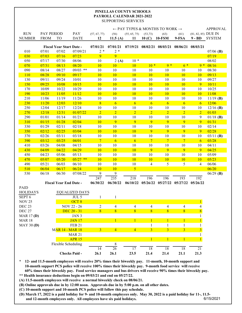#### **PAYROLL CALENDAR 2021-2022** SUPPORTING SERVICES **PINELLAS COUNTY SCHOOLS**

|                         |             |                                 |                                |                 |                 |                |                 | $\leftarrow$ PAY TYPES & MONTHS TO WORK $\rightarrow$ |                         |                     | <b>APPROVAL</b> |
|-------------------------|-------------|---------------------------------|--------------------------------|-----------------|-----------------|----------------|-----------------|-------------------------------------------------------|-------------------------|---------------------|-----------------|
| <b>RUN</b>              | PAY PERIOD  |                                 | PAY                            | (57, 67, 77)    | (56)            | (55, 65, 75)   | (53, 73)        | (63)                                                  | (61)                    | (81, 82, 85) DUE IN |                 |
| <b>NUMBER</b>           | <b>FROM</b> | <b>TO</b>                       | <b>DATE</b>                    | 12              | 11.5 $(A)$      | 11             | 10(C)           | <b>10-FSM</b>                                         | 9-FSA                   |                     | 9-BD SYSTEM     |
|                         |             | <b>Fiscal Year Start Date -</b> |                                | 07/01/21        | 07/01/21        |                |                 | 07/19/21 08/02/21 08/03/21 08/06/21 08/03/21          |                         |                     |                 |
| 010                     | 07/01       | 07/02                           | 07/09/21                       | $2 *$           | $2 *$           |                |                 |                                                       |                         |                     | $07/06$ (B)     |
| 030                     | 07/03       | 07/16                           | 07/23                          | 9               | 9               |                |                 |                                                       |                         |                     | 07/19           |
| 050                     | 07/17       | 07/30                           | 08/06                          | 10              | 2(A)            | $10*$          |                 |                                                       |                         |                     | 08/02           |
| 070                     | 07/31       | 08/13                           | 08/20                          | 10              | 10              | 10             | $10 *$          | $9*$                                                  | $6*$                    | $9 *$               | 08/16           |
| 090                     | 08/14       | 08/27                           | $09/03$ **                     | 10              | 10              | 10             | 10              | 10                                                    | 10                      | 10                  | 08/30           |
| 110                     | 08/28       | 09/10                           | 09/17                          | 10              | 10              | 10             | <b>10</b>       | 10                                                    | 10                      | 10                  | 09/13           |
| 130                     | 09/11       | 09/24                           | 10/01                          | 10              | 10              | 10             | 10              | 10                                                    | 10                      | 10                  | 09/27           |
| 150                     | 09/25       | 10/08                           | 10/15                          | 10              | 10              | 10             | 10              | 10                                                    | 10                      | 9                   | 10/11           |
| 170                     | 10/09       | 10/22                           | 10/29                          | 10              | 10              | 10             | 10              | 10                                                    | 10                      | 10                  | 10/25           |
| 190                     | 10/23       | 11/05                           | 11/12                          | 10              | 10              | 10             | 10              | 10                                                    | 10                      | <b>10</b>           | 11/08           |
| 210                     | 11/06       | 11/19                           | 11/26                          | 10              | 10              | 10             | 10              | 10                                                    | 10                      | 10                  | $11/19$ (B)     |
| 230                     | 11/20       | 12/03                           | 12/10                          | 8               | 6               | $\overline{6}$ | $\overline{6}$  | $\overline{6}$                                        | 6                       | 6                   | 12/06           |
| 250                     | 12/04       | 12/17                           | 12/24                          | 10              | 10              | 10             | 10              | 10                                                    | 10                      | 10                  | $12/16$ (B)     |
| 270                     | 12/18       | 12/31                           | 01/07/22                       | $\overline{2}$  | $\overline{2}$  | $\overline{2}$ | $\overline{2}$  | $\overline{2}$                                        | $\overline{2}$          | $\overline{2}$      | 01/03           |
| 290                     | 01/01       | 01/14                           | 01/21                          | 10              | 10              | 10             | 10              | 10                                                    | $10\,$                  | 9                   | $01/18$ (B)     |
| 310                     | 01/15       | 01/28                           | 02/04                          | 10              | 9               | 9              | 9               | $\overline{9}$                                        | 9                       | 9                   | 01/31           |
| 330                     | 01/29       | 02/11                           | 02/18                          | $10\,$          | $10\,$          | 10             | $10\,$          | 10                                                    | 10                      | 10                  | 02/14           |
| 350                     | 02/12       | 02/25                           | 03/04                          | <b>10</b>       | 10              | 10             | 9               | 9                                                     | 9                       | 9                   | 02/28           |
| 370                     | 02/26       | 03/11                           | 03/18                          | 10              | $10\,$          | 10             | 10              | 10                                                    | 10                      | 10                  | $03/11$ (B)     |
| 390                     | 03/12       | 03/25                           | 04/01                          | $7\phantom{.0}$ | $6\overline{6}$ | 6              | $7\phantom{.0}$ | $\overline{7}$                                        | $\overline{7}$          | 6                   | 03/28           |
| 410                     | 03/26       | 04/08                           | 04/15                          | 10              | 10              | 10             | 10              | 10                                                    | 10                      | 10                  | 04/11           |
| 430                     | 04/09       | 04/22                           | 04/29                          | 10              | 10              | 10             | 9               | 9                                                     | 9                       | 9                   | 04/25           |
| 450                     | 04/23       | 05/06                           | 05/13                          | 10              | 10              | 10             | 10              | 10                                                    | 10                      | 10                  | 05/09           |
| 470                     | 05/07       | 05/20                           | $05/27$ **                     | 10              | 10              | 10             | <b>10</b>       | <b>10</b>                                             | 10                      | <b>10</b>           | 05/23           |
| 490                     | 05/21       | 06/03                           | 06/10                          | 10              | 10              | 10             | $\overline{4}$  | 5                                                     | 5                       | $\overline{4}$      | 06/06           |
| 510                     | 06/04       | 06/17                           | 06/24                          | 10              | 10              | $\overline{5}$ |                 |                                                       |                         |                     | 06/20           |
| 530                     | 06/18       | 06/30                           | 07/08/22                       | 9               | 9               |                |                 |                                                       |                         |                     | $06/29$ (B)     |
|                         |             |                                 |                                | 247             | 235             | 218            | 196             | 196                                                   | 193                     | 192                 |                 |
|                         |             | <b>Fiscal Year End Date -</b>   |                                | 06/30/22        | 06/30/22        | 06/10/22       |                 | 05/26/22 05/27/22                                     | 05/27/22                | 05/26/22            |                 |
| PAID<br><b>HOLIDAYS</b> |             |                                 |                                |                 |                 |                |                 |                                                       |                         |                     |                 |
| SEPT <sub>6</sub>       |             |                                 | <b>EQUALIZED DAYS</b><br>JUL 5 |                 |                 |                |                 |                                                       |                         |                     |                 |
| <b>NOV 25</b>           |             |                                 | OCT <sub>8</sub>               | 1               | 1               |                |                 |                                                       |                         | $\mathbf{1}$        |                 |
| DEC <sub>23</sub>       |             |                                 | <b>NOV 22 - 26</b>             | $\sqrt{2}$      | $\overline{4}$  | $\overline{4}$ | $\overline{4}$  | $\overline{\mathcal{A}}$                              | $\overline{4}$          | $\overline{4}$      |                 |
| <b>DEC 27</b>           |             |                                 | DEC 20 - 31                    | $\overline{8}$  | $\overline{8}$  | $\overline{8}$ | $\overline{8}$  | $\overline{8}$                                        | $\overline{8}$          | $\overline{8}$      |                 |
| <b>MAR 17(D)</b>        |             |                                 | JAN 3                          |                 |                 |                |                 |                                                       |                         | 1                   |                 |
| <b>MAR18</b>            |             |                                 | <b>JAN 17</b>                  |                 |                 | $\mathbf{1}$   |                 |                                                       | $\mathbf{1}$            | $\mathbf{1}$        |                 |
| <b>MAY 30 (D)</b>       |             |                                 | <b>FEB 21</b>                  |                 |                 |                |                 | $\mathbf{1}$                                          | $\mathbf{1}$            | 1                   |                 |
|                         |             | <b>MAR 14 - MAR 18</b>          |                                | $\overline{3}$  | $\overline{4}$  | $\overline{4}$ | $\overline{3}$  | $\overline{3}$                                        | $\overline{\mathbf{3}}$ | 3 <sup>1</sup>      |                 |
|                         |             |                                 | <b>MAR 21</b>                  |                 |                 |                |                 |                                                       |                         | 1                   |                 |
|                         |             |                                 | <b>APR 15</b>                  |                 |                 |                | $\mathbf{1}$    | $\mathbf{1}$                                          | $\mathbf{1}$            | $\mathbf{1}$        |                 |
|                         |             | Flexible Scheduling             |                                |                 | 8               |                |                 |                                                       |                         |                     |                 |
|                         |             |                                 |                                | 14              | 26              | 17             | 18              | 18                                                    | 18                      | 21                  |                 |
|                         |             |                                 | <b>Checks Paid -</b>           | 26.1            | 26.1            | 23.5           | 21.4            | 21.4                                                  | 21.1                    | 21.3                |                 |

**\* 12- and 11.5-month employees will receive 20% times their biweekly pay. 11-month, 10-month support and 10-month support PCS police will receive 100% times their biweekly pay. 9-month food service will receive 60% times their biweekly pay. Food service managers and bus drivers will receive 90% times their biweekly pay. \*\* Health insurance deductions begin on 09/03/21 and end on 05/27/22.**

- **(A) 11.5-month employees will receive a normal biweekly check on 08/06/21.**
- **(B) Online approvals due in by 12:00 noon. Approvals due in by 5:00 p.m. on all other dates.**
- **(C) 10-month support and 10-month PCS police will follow this pay schedule.**
- **(D) March 17, 2022 is a paid holiday for 9- and 10-month employees only. May 30, 2022 is a paid holiday for 11-, 11.5 and 12-month employees only. All employees have six paid holidays.** 6/15/2021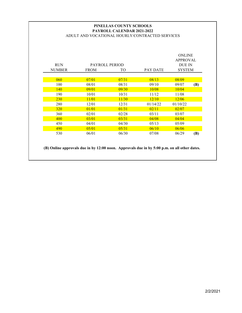# **PAYROLL CALENDAR 2021-2022** ADULT AND VOCATIONAL HOURLY/CONTRACTED SERVICES **PINELLAS COUNTY SCHOOLS**

| <b>RUN</b><br><b>NUMBER</b> | PAYROLL PERIOD<br><b>FROM</b> | TO    | <b>PAY DATE</b> | <b>ONLINE</b><br>APPROVAL<br>DUE IN<br><b>SYSTEM</b> |     |
|-----------------------------|-------------------------------|-------|-----------------|------------------------------------------------------|-----|
| 060                         | 07/01                         | 07/31 | 08/13           | 08/09                                                |     |
| 100                         | 08/01                         | 08/31 | 09/10           | 09/07                                                | (B) |
| 140                         | 09/01                         | 09/30 | 10/08           | 10/04                                                |     |
| 190                         | 10/01                         | 10/31 | 11/12           | 11/08                                                |     |
| <b>230</b>                  | 11/01                         | 11/30 | 12/10           | 12/06                                                |     |
| 280                         | 12/01                         | 12/31 | 01/14/22        | 01/10/22                                             |     |
| <b>320</b>                  | 01/01                         | 01/31 | 02/11           | 02/07                                                |     |
| 360                         | 02/01                         | 02/28 | 03/11           | 03/07                                                |     |
| 400                         | 03/01                         | 03/31 | 04/08           | 04/04                                                |     |
| 450                         | 04/01                         | 04/30 | 0.5/13          | 0.5/09                                               |     |
| 490                         | 05/01                         | 05/31 | 06/10           | 06/06                                                |     |
| 530                         | 06/01                         | 06/30 | 07/08           | 06/29                                                | (B) |

**(B) Online approvals due in by 12:00 noon. Approvals due in by 5:00 p.m. on all other dates.**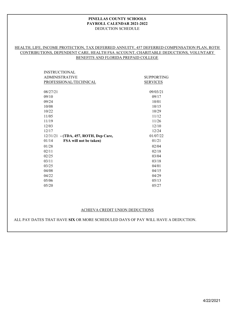#### DEDUCTION SCHEDULE **PINELLAS COUNTY SCHOOLS PAYROLL CALENDAR 2021-2022**

# HEALTH, LIFE, INCOME PROTECTION, TAX DEFERRED ANNUITY, 457 DEFERRED COMPENSATION PLAN, ROTH CONTRIBUTIONS, DEPENDENT CARE, HEALTH FSA ACCOUNT, CHARITABLE DEDUCTIONS, VOLUNTARY BENEFITS AND FLORIDA PREPAID COLLEGE

| <b>INSTRUCTIONAL</b>                  |                   |
|---------------------------------------|-------------------|
| <b>ADMINISTRATIVE</b>                 | <b>SUPPORTING</b> |
| PROFESSIONAL/TECHNICAL                | <b>SERVICES</b>   |
|                                       |                   |
| 08/27/21                              | 09/03/21          |
| 09/10                                 | 09/17             |
| 09/24                                 | 10/01             |
| 10/08                                 | 10/15             |
| 10/22                                 | 10/29             |
| 11/05                                 | 11/12             |
| 11/19                                 | 11/26             |
| 12/03                                 | 12/10             |
| 12/17                                 | 12/24             |
| 12/31/21 - (TDA, 457, ROTH, Dep Care, | 01/07/22          |
| 01/14<br>FSA will not be taken)       | 01/21             |
| 01/28                                 | 02/04             |
| 02/11                                 | 02/18             |
| 02/25                                 | 03/04             |
| 03/11                                 | 03/18             |
| 03/25                                 | 04/01             |
| 04/08                                 | 04/15             |
| 04/22                                 | 04/29             |
| 05/06                                 | 05/13             |
| 05/20                                 | 05/27             |

#### ACHIEVA CREDIT UNION DEDUCTIONS

ALL PAY DATES THAT HAVE **SIX** OR MORE SCHEDULED DAYS OF PAY WILL HAVE A DEDUCTION.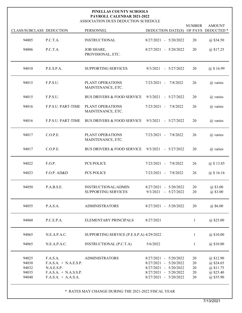#### ASSOCIATION DUES DEDUCTION SCHEDULE **PAYROLL CALENDAR 2021-2022 PINELLAS COUNTY SCHOOLS**

| CLASS/SUBCLASS DEDUCTION                  |                                                                                                       | PERSONNEL                                  | DEDUCTION DATE(S)                                                                                                         | <b>NUMBER</b>              | <b>AMOUNT</b><br>OF PAYS DEDUCTED <sup>*</sup>                |
|-------------------------------------------|-------------------------------------------------------------------------------------------------------|--------------------------------------------|---------------------------------------------------------------------------------------------------------------------------|----------------------------|---------------------------------------------------------------|
| 94005                                     | P.C.T.A.                                                                                              | <b>INSTRUCTIONAL</b>                       | 8/27/2021 - 5/20/2022                                                                                                     | 20                         | @ \$34.50                                                     |
| 94006                                     | P.C.T.A.                                                                                              | <b>JOB SHARE,</b><br>PROVISIONAL, ETC.     | 8/27/2021 - 5/20/2022                                                                                                     | 20                         | @ \$17.25                                                     |
| 94010                                     | P.E.S.P.A.                                                                                            | <b>SUPPORTING SERVICES</b>                 | $9/3/2021 - 5/27/2022$                                                                                                    | 20                         | @ \$16.99                                                     |
| 94015                                     | F.P.S.U.                                                                                              | PLANT OPERATIONS<br>MAINTENANCE, ETC.      | 7/23/2021 - 7/8/2022                                                                                                      | 26                         | $(a)$ varies                                                  |
| 94015                                     | F.P.S.U.                                                                                              | <b>BUS DRIVERS &amp; FOOD SERVICE</b>      | $9/3/2021 - 5/27/2022$                                                                                                    | 20                         | @ varies                                                      |
| 94016                                     | F.P.S.U. PART-TIME                                                                                    | PLANT OPERATIONS<br>MAINTENANCE, ETC.      | 7/23/2021 - 7/8/2022                                                                                                      | 26                         | @ varies                                                      |
| 94016                                     | <b>F.P.S.U. PART-TIME</b>                                                                             | <b>BUS DRIVERS &amp; FOOD SERVICE</b>      | $9/3/2021 - 5/27/2022$                                                                                                    | 20                         | $(a)$ varies                                                  |
| 94017                                     | C.O.P.E.                                                                                              | PLANT OPERATIONS<br>MAINTENANCE, ETC.      | $7/23/2021 -$<br>7/8/2022                                                                                                 | 26                         | @ varies                                                      |
| 94017                                     | C.O.P.E.                                                                                              | <b>BUS DRIVERS &amp; FOOD SERVICE</b>      | $9/3/2021 - 5/27/2022$                                                                                                    | 20                         | $(a)$ varies                                                  |
| 94022                                     | F.O.P.                                                                                                | <b>PCS POLICE</b>                          | $7/23/2021 -$<br>7/8/2022                                                                                                 | 26                         | @ \$13.85                                                     |
| 94023                                     | F.O.P. AD&D                                                                                           | <b>PCS POLICE</b>                          | $7/23/2021 -$<br>7/8/2022                                                                                                 | 26                         | $(a)$ \$ 16.16                                                |
| 94050                                     | P.A.B.S.E.                                                                                            | INSTRUCTIONAL/ADMIN<br>SUPPORTING SERVICES | 8/27/2021 - 5/20/2022<br>9/3/2021<br>$-5/27/2022$                                                                         | 20<br>20                   | @\$3.00<br>$(a)$ \$3.00                                       |
| 94055                                     | P.A.S.A.                                                                                              | <b>ADMINISTRATORS</b>                      | 8/27/2021 - 5/20/2022                                                                                                     | 20                         | $(a)$ \$6.00                                                  |
| 94060                                     | P.C.E.P.A.                                                                                            | ELEMENTARY PRINCIPALS                      | 8/27/2021                                                                                                                 | 1                          | $@$ \$25.00                                                   |
| 94065                                     | N.E.A.P.A.C.                                                                                          | SUPPORTING SERVICE (P.E.S.P.A) 4/29/2022   |                                                                                                                           | $\mathbf{1}$               | @\$10.00                                                      |
| 94065                                     | N.E.A.P.A.C.                                                                                          | INSTRUCTIONAL (P.C.T.A)                    | 5/6/2022                                                                                                                  | $\mathbf{1}$               | @\$10.00                                                      |
| 94025<br>94030<br>94032<br>94035<br>94040 | F.A.S.A.<br>$F.A.S.A. + N.A.E.S.P.$<br>N.A.E.S.P.<br>$F.A.S.A. + N.A.S.S.P.$<br>$F.A.S.A. + A.A.S.A.$ | <b>ADMINISTRATORS</b>                      | 8/27/2021 - 5/20/2022<br>8/27/2021 - 5/20/2022<br>8/27/2021 - 5/20/2022<br>8/27/2021 - 5/20/2022<br>8/27/2021 - 5/20/2022 | 20<br>20<br>20<br>20<br>20 | @\$12.90<br>@\$24.65<br>@\$11.75<br>@\$25.40<br>$(a)$ \$35.90 |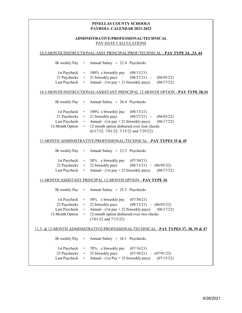# **PAYROLL CALENDAR 2021-2022 PINELLAS COUNTY SCHOOLS**

# PAY DATE CALCULATIONS **ADMINISTRATIVE/PROFESSIONAL/TECHNICAL**

|                 |     | 10.5-MONTH INSTRUCTIONAL/ASST PRINCIPAL/PROF/TECHNICAL - PAY TYPE 24, ,33, 44                     |
|-----------------|-----|---------------------------------------------------------------------------------------------------|
| Bi weekly Pay   | $=$ | Annual Salary $\div$ 22.4 Paychecks                                                               |
| 1st Paycheck    | $=$ | 100% x biweekly pay<br>(08/13/21)                                                                 |
| 21 Paychecks    | $=$ | 21 biweekly pays<br>$(08/27/21)$ -<br>(06/03/22)                                                  |
| Last Paycheck   | $=$ | Annual - $(1st pay + 21$ biweekly pays)<br>(06/17/22)                                             |
|                 |     | 10.5-MONTH INSTRUCTIONAL/ASSISTANT PRINCIPAL 12-MONTH OPTION - PAY TYPE 28,34                     |
| Bi weekly Pay   | $=$ | Annual Salary $\div$ 26.4 Paychecks                                                               |
| 1st Paycheck    | $=$ | 100% x biweekly pay<br>(08/13/21)                                                                 |
| 21 Paychecks    | $=$ | 21 biweekly pays<br>$(08/27/21)$ -<br>(06/03/22)                                                  |
| Last Paycheck   | $=$ | Annual - $(1st pay + 21$ biweekly pays)<br>(06/17/22)                                             |
| 12-Month Option | =   | 12-month option disbursed over four checks                                                        |
|                 |     | $(6/17/22, 7/01/22, 7/15/22$ and $7/29/22)$                                                       |
|                 |     | 11-MONTH ADMINISTRATIVE/PROFESSIONAL/TECHNICAL - PAY TYPES 35 & 45                                |
| Bi weekly Pay   | $=$ | Annual Salary $\div$ 23.5 Paychecks                                                               |
| 1st Paycheck    | $=$ | 50% x biweekly pay<br>(07/30/21)                                                                  |
| 22 Paychecks    | $=$ | 22 biweekly pays<br>$(08/13/21)$ - $(06/03/22)$                                                   |
| Last Paycheck   | $=$ | Annual - $(1st pay + 22$ biweekly pays)<br>(06/17/22)                                             |
|                 |     | 11-MONTH ASSISTANT PRINCIPAL 12-MONTH OPTION - PAY TYPE 36                                        |
| Bi weekly Pay   | $=$ | Annual Salary $\div$ 25.5 Paychecks                                                               |
| 1st Paycheck    | $=$ | 50% x biweekly pay<br>(07/30/21)                                                                  |
| 22 Paychecks    | $=$ | $(08/13/21) - (06/03/22)$<br>22 biweekly pays                                                     |
| Last Paycheck   | $=$ | Annual - $(1st pay + 22 biweekly pays)$<br>(06/17/22)                                             |
| 12-Month Option | $=$ | 12-month option disbursed over two checks<br>$(7/01/22$ and $7/15/22)$                            |
|                 |     | <u>11.5- &amp; 12-MONTH ADMINISTRATIVE/PROFESSIONAL/TECHNICAL - PAY TYPES 37, 38, 39 &amp; 47</u> |
| Bi weekly Pay   | $=$ | Annual Salary $\div$ 26.1 Paychecks                                                               |
| 1st Paycheck    | $=$ | 70% x biweekly pay<br>(07/16/21)                                                                  |
| 25 Paychecks    | $=$ | 25 biweekly pays<br>$(07/30/21)$ -<br>(07/01/22)                                                  |
| Last Paycheck   | =   | Annual - (1st Pay + 25 biweekly pays)<br>(07/15/22)                                               |
|                 |     |                                                                                                   |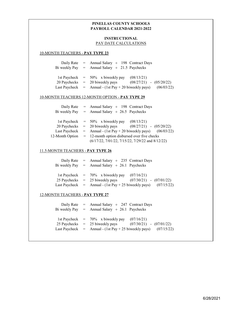# **PINELLAS COUNTY SCHOOLS PAYROLL CALENDAR 2021-2022**

# **INSTRUCTIONAL** PAY DATE CALCULATIONS

#### 10-MONTH TEACHERS - **PAY TYPE 23**

|  | Daily Rate = Annual Salary $\div$ 198 Contract Days<br>Bi weekly Pay = Annual Salary $\div$ 21.5 Paychecks                                        |                                           |  |
|--|---------------------------------------------------------------------------------------------------------------------------------------------------|-------------------------------------------|--|
|  | 1st Paycheck $= 50\%$ x biweekly pay<br>$20$ Paychecks $= 20$ biweekly pays<br>Last Paycheck $=$ Annual - (1st Pay + 20 biweekly pays) (06/03/22) | (08/13/21)<br>$(08/27/21)$ - $(05/20/22)$ |  |

#### 10-MONTH TEACHERS 12-MONTH OPTION - **PAY TYPE 29**

|                 | Daily Rate = Annual Salary $\div$ 198 Contract Days                |  |  |  |  |
|-----------------|--------------------------------------------------------------------|--|--|--|--|
|                 | Bi weekly Pay = Annual Salary $\div$ 26.5 Paychecks                |  |  |  |  |
|                 |                                                                    |  |  |  |  |
|                 | 1st Paycheck $= 50\%$ x biweekly pay<br>(08/13/21)                 |  |  |  |  |
|                 | $20$ Paychecks $= 20$ biweekly pays<br>$(08/27/21)$ - $(05/20/22)$ |  |  |  |  |
| Last Paycheck   | $=$ Annual - (1st Pay + 20 biweekly pays) (06/03/22)               |  |  |  |  |
| 12-Month Option | $=$ 12-month option disbursed over five checks                     |  |  |  |  |
|                 | (6/17/22, 7/01/22, 7/15/22, 7/29/22 and 8/12/22)                   |  |  |  |  |
|                 |                                                                    |  |  |  |  |

#### 11.5-MONTH TEACHERS - **PAY TYPE 26**

|  | Daily Rate = Annual Salary $\div$ 235 Contract Days                |                             |  |
|--|--------------------------------------------------------------------|-----------------------------|--|
|  | Bi weekly Pay = Annual Salary $\div$ 26.1 Paychecks                |                             |  |
|  |                                                                    |                             |  |
|  | 1st Paycheck $= 70\%$ x biweekly pay $(07/16/21)$                  |                             |  |
|  | 25 Paychecks $=$ 25 biweekly pays                                  | $(07/30/21)$ - $(07/01/22)$ |  |
|  | Last Paycheck $=$ Annual - (1st Pay + 25 biweekly pays) (07/15/22) |                             |  |
|  |                                                                    |                             |  |

# 12-MONTH TEACHERS - **PAY TYPE 27**

|  | Daily Rate = Annual Salary $\div$ 247 Contract Days<br>Bi weekly Pay = Annual Salary $\div$ 26.1 Paychecks                                                     |                           |  |
|--|----------------------------------------------------------------------------------------------------------------------------------------------------------------|---------------------------|--|
|  | 1st Paycheck $= 70\%$ x biweekly pay $(07/16/21)$<br>$25$ Paychecks $= 25$ biweekly pays<br>Last Paycheck $=$ Annual - (1st Pay + 25 biweekly pays) (07/15/22) | $(07/30/21) - (07/01/22)$ |  |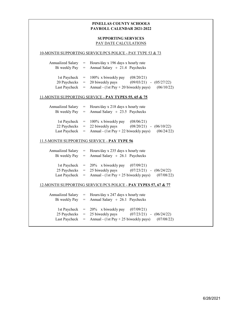# **PINELLAS COUNTY SCHOOLS PAYROLL CALENDAR 2021-2022**

# **SUPPORTING SERVICES** PAY DATE CALCULATIONS

### 10-MONTH SUPPORTING SERVICE/PCS POLICE - PAY TYPE 53 & 73

| Annualized Salary | $=$ Hours/day x 196 days x hourly rate                  |                           |            |
|-------------------|---------------------------------------------------------|---------------------------|------------|
|                   | Bi weekly Pay = Annual Salary $\div$ 21.4 Paychecks     |                           |            |
|                   |                                                         |                           |            |
|                   | 1st Paycheck $= 100\%$ x biweekly pay                   | (08/20/21)                |            |
|                   | $20$ Paychecks $= 20$ biweekly pays                     | $(09/03/21) - (05/27/22)$ |            |
|                   | Last Paycheck $=$ Annual - (1st Pay + 20 biweekly pays) |                           | (06/10/22) |
|                   |                                                         |                           |            |

# 11-MONTH SUPPORTING SERVICE - **PAY TYPES 55, 65 & 75**

| Annualized Salary | $=$ Hours/day x 218 days x hourly rate                                      |                             |  |
|-------------------|-----------------------------------------------------------------------------|-----------------------------|--|
|                   | Bi weekly Pay = Annual Salary $\div$ 23.5 Paychecks                         |                             |  |
|                   |                                                                             |                             |  |
|                   | 1st Paycheck $= 100\%$ x biweekly pay                                       | (08/06/21)                  |  |
|                   | 22 Paychecks $=$ 22 biweekly pays                                           | $(08/20/21)$ - $(06/10/22)$ |  |
|                   | Last Paycheck = Annual - $(1st Pay + 22 \text{biweekly pays})$ $(06/24/22)$ |                             |  |

#### 11.5-MONTH SUPPORTING SERVICE - **PAY TYPE 56**

| Annualized Salary | $=$ Hours/day x 235 days x hourly rate<br>Bi weekly Pay = Annual Salary $\div$ 26.1 Paychecks                                                                 |                             |  |
|-------------------|---------------------------------------------------------------------------------------------------------------------------------------------------------------|-----------------------------|--|
|                   | 1st Paycheck $= 20\%$ x biweekly pay $(07/09/21)$<br>25 Paychecks $=$ 25 biweekly pays<br>Last Paycheck = Annual - $(1st Pay + 25biweekly pays)$ $(07/08/22)$ | $(07/23/21)$ - $(06/24/22)$ |  |

#### 12-MONTH SUPPORTING SERVICE/PCS POLICE - **PAY TYPES 57, 67 & 77**

| Annualized Salary | $=$ Hours/day x 247 days x hourly rate<br>Bi weekly Pay = Annual Salary $\div$ 26.1 Paychecks                                                                 |                             |  |
|-------------------|---------------------------------------------------------------------------------------------------------------------------------------------------------------|-----------------------------|--|
|                   | 1st Paycheck $= 20\%$ x biweekly pay $(07/09/21)$<br>25 Paychecks $=$ 25 biweekly pays<br>Last Paycheck = Annual - $(1st Pay + 25biweekly pays)$ $(07/08/22)$ | $(07/23/21)$ - $(06/24/22)$ |  |